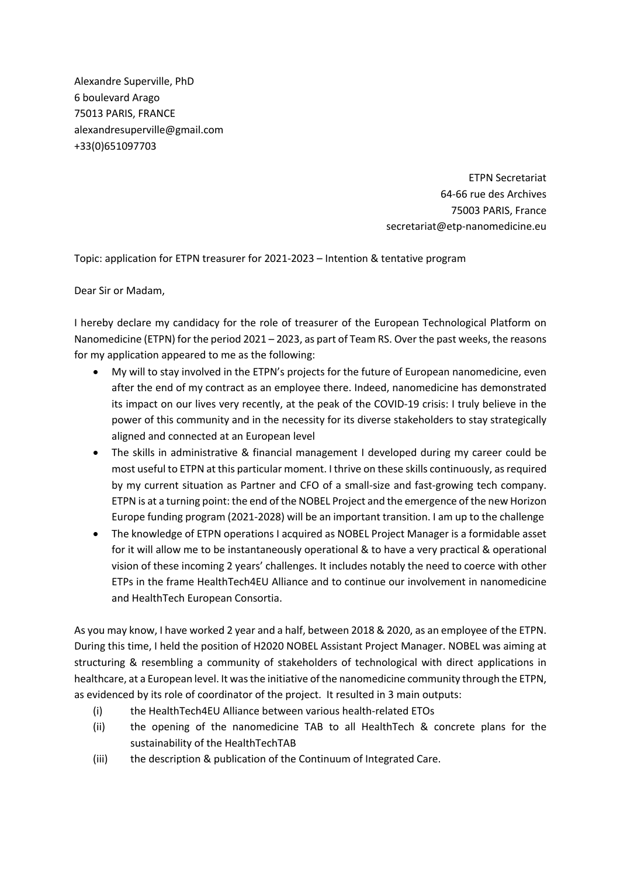Alexandre Superville, PhD 6 boulevard Arago 75013 PARIS, FRANCE alexandresuperville@gmail.com +33(0)651097703

> ETPN Secretariat 64-66 rue des Archives 75003 PARIS, France secretariat@etp-nanomedicine.eu

Topic: application for ETPN treasurer for 2021-2023 – Intention & tentative program

Dear Sir or Madam,

I hereby declare my candidacy for the role of treasurer of the European Technological Platform on Nanomedicine (ETPN) for the period 2021 – 2023, as part of Team RS. Over the past weeks, the reasons for my application appeared to me as the following:

- My will to stay involved in the ETPN's projects for the future of European nanomedicine, even after the end of my contract as an employee there. Indeed, nanomedicine has demonstrated its impact on our lives very recently, at the peak of the COVID-19 crisis: I truly believe in the power of this community and in the necessity for its diverse stakeholders to stay strategically aligned and connected at an European level
- The skills in administrative & financial management I developed during my career could be most useful to ETPN at this particular moment. I thrive on these skills continuously, as required by my current situation as Partner and CFO of a small-size and fast-growing tech company. ETPN is at a turning point: the end of the NOBEL Project and the emergence of the new Horizon Europe funding program (2021-2028) will be an important transition. I am up to the challenge
- The knowledge of ETPN operations I acquired as NOBEL Project Manager is a formidable asset for it will allow me to be instantaneously operational & to have a very practical & operational vision of these incoming 2 years' challenges. It includes notably the need to coerce with other ETPs in the frame HealthTech4EU Alliance and to continue our involvement in nanomedicine and HealthTech European Consortia.

As you may know, I have worked 2 year and a half, between 2018 & 2020, as an employee of the ETPN. During this time, I held the position of H2020 NOBEL Assistant Project Manager. NOBEL was aiming at structuring & resembling a community of stakeholders of technological with direct applications in healthcare, at a European level. It was the initiative of the nanomedicine community through the ETPN, as evidenced by its role of coordinator of the project. It resulted in 3 main outputs:

- (i) the HealthTech4EU Alliance between various health-related ETOs
- (ii) the opening of the nanomedicine TAB to all HealthTech & concrete plans for the sustainability of the HealthTechTAB
- (iii) the description & publication of the Continuum of Integrated Care.